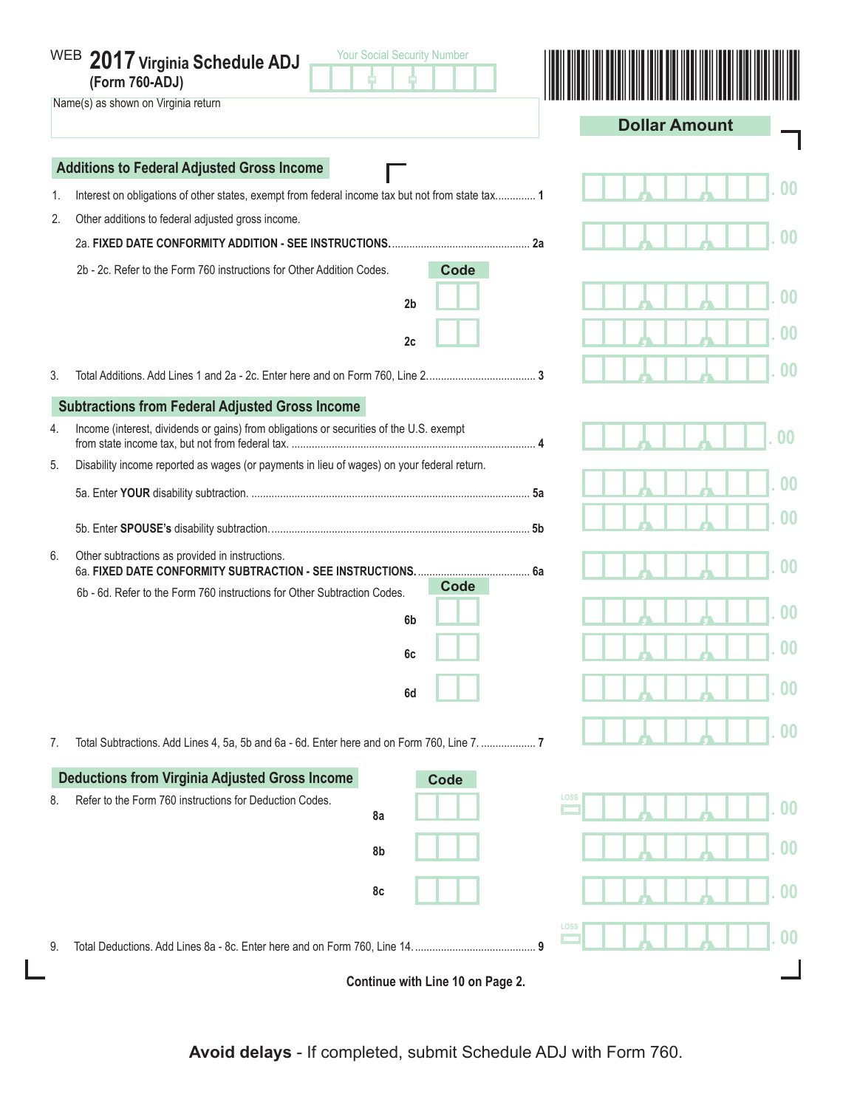|    | <b>Your Social Security Number</b><br>WEB 2017 Virginia Schedule ADJ<br>(Form 760-ADJ)<br>Name(s) as shown on Virginia return |  |                      |  |  |  |  |
|----|-------------------------------------------------------------------------------------------------------------------------------|--|----------------------|--|--|--|--|
|    |                                                                                                                               |  | <b>Dollar Amount</b> |  |  |  |  |
|    | <b>Additions to Federal Adjusted Gross Income</b>                                                                             |  |                      |  |  |  |  |
| 1. | Interest on obligations of other states, exempt from federal income tax but not from state tax 1                              |  | 00                   |  |  |  |  |
| 2. | Other additions to federal adjusted gross income.                                                                             |  |                      |  |  |  |  |
|    |                                                                                                                               |  | 00                   |  |  |  |  |
|    | <b>Code</b><br>2b - 2c. Refer to the Form 760 instructions for Other Addition Codes.                                          |  |                      |  |  |  |  |
|    | 2 <sub>b</sub>                                                                                                                |  | 00                   |  |  |  |  |
|    |                                                                                                                               |  | 00                   |  |  |  |  |
|    | 2c                                                                                                                            |  |                      |  |  |  |  |
| 3. |                                                                                                                               |  | $00\,$               |  |  |  |  |
|    | <b>Subtractions from Federal Adjusted Gross Income</b>                                                                        |  |                      |  |  |  |  |
| 4. | Income (interest, dividends or gains) from obligations or securities of the U.S. exempt                                       |  |                      |  |  |  |  |
| 5. | Disability income reported as wages (or payments in lieu of wages) on your federal return.                                    |  |                      |  |  |  |  |
|    |                                                                                                                               |  | 00                   |  |  |  |  |
|    |                                                                                                                               |  | იი                   |  |  |  |  |
| 6. | Other subtractions as provided in instructions.                                                                               |  | $00\,$               |  |  |  |  |
|    | Code<br>6b - 6d. Refer to the Form 760 instructions for Other Subtraction Codes.                                              |  |                      |  |  |  |  |
|    | 6 <sub>b</sub>                                                                                                                |  | 00                   |  |  |  |  |
|    | 6c                                                                                                                            |  | 00                   |  |  |  |  |
|    | 6d                                                                                                                            |  | 00                   |  |  |  |  |
| 7. | Total Subtractions. Add Lines 4, 5a, 5b and 6a - 6d. Enter here and on Form 760, Line 7.  7                                   |  | 00                   |  |  |  |  |
|    | <b>Deductions from Virginia Adjusted Gross Income</b><br><b>Code</b>                                                          |  |                      |  |  |  |  |
| 8. | Refer to the Form 760 instructions for Deduction Codes.<br>8a                                                                 |  | LOSS<br>00           |  |  |  |  |
|    | 8b                                                                                                                            |  | $\bf{00}$            |  |  |  |  |
|    | 8c                                                                                                                            |  | 0 <sub>0</sub>       |  |  |  |  |
| 9. | Total Deductions. Add Lines 8a - 8c. Enter here and on Form 760, Line 14.                                                     |  | LOSS<br>$\bf{00}$    |  |  |  |  |
|    | Continue with Line 10 on Page 2.                                                                                              |  |                      |  |  |  |  |

**Avoid delays** - If completed, submit Schedule ADJ with Form 760.

 $\mathbf{L}$